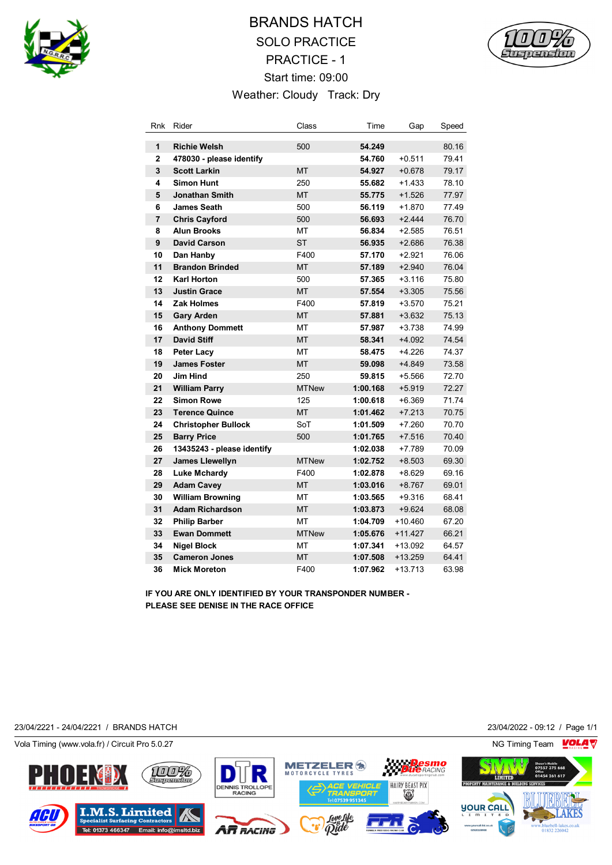

# BRANDS HATCH SOLO PRACTICE PRACTICE - 1 Start time: 09:00 Weather: Cloudy Track: Dry



| Rnk            | Rider                      | Class        | Time     | Gap       | Speed |
|----------------|----------------------------|--------------|----------|-----------|-------|
| $\mathbf 1$    | <b>Richie Welsh</b>        | 500          | 54.249   |           | 80.16 |
| $\overline{2}$ | 478030 - please identify   |              | 54.760   | $+0.511$  | 79.41 |
| 3              | <b>Scott Larkin</b>        | <b>MT</b>    | 54.927   | $+0.678$  | 79.17 |
| 4              | <b>Simon Hunt</b>          | 250          | 55.682   | $+1.433$  | 78.10 |
| 5              | <b>Jonathan Smith</b>      | <b>MT</b>    | 55.775   | $+1.526$  | 77.97 |
| 6              | <b>James Seath</b>         | 500          | 56.119   | $+1.870$  | 77.49 |
| $\overline{7}$ | <b>Chris Cayford</b>       | 500          | 56.693   | $+2.444$  | 76.70 |
| 8              | <b>Alun Brooks</b>         | МT           | 56.834   | $+2.585$  | 76.51 |
| 9              | <b>David Carson</b>        | <b>ST</b>    | 56.935   | $+2.686$  | 76.38 |
| 10             | Dan Hanby                  | F400         | 57.170   | $+2.921$  | 76.06 |
| 11             | <b>Brandon Brinded</b>     | MT           | 57.189   | $+2.940$  | 76.04 |
| 12             | <b>Karl Horton</b>         | 500          | 57.365   | $+3.116$  | 75.80 |
| 13             | <b>Justin Grace</b>        | <b>MT</b>    | 57.554   | $+3.305$  | 75.56 |
| 14             | Zak Holmes                 | F400         | 57.819   | $+3.570$  | 75.21 |
| 15             | <b>Gary Arden</b>          | <b>MT</b>    | 57.881   | $+3.632$  | 75.13 |
| 16             | <b>Anthony Dommett</b>     | МT           | 57.987   | $+3.738$  | 74.99 |
| 17             | <b>David Stiff</b>         | <b>MT</b>    | 58.341   | $+4.092$  | 74.54 |
| 18             | <b>Peter Lacy</b>          | MT           | 58.475   | $+4.226$  | 74.37 |
| 19             | <b>James Foster</b>        | <b>MT</b>    | 59.098   | $+4.849$  | 73.58 |
| 20             | <b>Jim Hind</b>            | 250          | 59.815   | $+5.566$  | 72.70 |
| 21             | <b>William Parry</b>       | <b>MTNew</b> | 1:00.168 | $+5.919$  | 72.27 |
| 22             | <b>Simon Rowe</b>          | 125          | 1:00.618 | $+6.369$  | 71.74 |
| 23             | <b>Terence Quince</b>      | <b>MT</b>    | 1:01.462 | $+7.213$  | 70.75 |
| 24             | <b>Christopher Bullock</b> | SoT          | 1:01.509 | $+7.260$  | 70.70 |
| 25             | <b>Barry Price</b>         | 500          | 1:01.765 | $+7.516$  | 70.40 |
| 26             | 13435243 - please identify |              | 1:02.038 | $+7.789$  | 70.09 |
| 27             | <b>James Llewellyn</b>     | <b>MTNew</b> | 1:02.752 | $+8.503$  | 69.30 |
| 28             | <b>Luke Mchardy</b>        | F400         | 1:02.878 | $+8.629$  | 69.16 |
| 29             | <b>Adam Cavey</b>          | МT           | 1:03.016 | $+8.767$  | 69.01 |
| 30             | <b>William Browning</b>    | МΤ           | 1:03.565 | $+9.316$  | 68.41 |
| 31             | <b>Adam Richardson</b>     | МT           | 1:03.873 | $+9.624$  | 68.08 |
| 32             | <b>Philip Barber</b>       | МT           | 1:04.709 | +10.460   | 67.20 |
| 33             | <b>Ewan Dommett</b>        | <b>MTNew</b> | 1:05.676 | $+11.427$ | 66.21 |
| 34             | <b>Nigel Block</b>         | МT           | 1:07.341 | $+13.092$ | 64.57 |
| 35             | <b>Cameron Jones</b>       | <b>MT</b>    | 1:07.508 | $+13.259$ | 64.41 |
| 36             | <b>Mick Moreton</b>        | F400         | 1:07.962 | $+13.713$ | 63.98 |

**IF YOU ARE ONLY IDENTIFIED BY YOUR TRANSPONDER NUMBER - PLEASE SEE DENISE IN THE RACE OFFICE**

METZELER<sup>6</sup>

**Desmo**<br>Itie racing

Ж

23/04/2221 - 24/04/2221 / BRANDS HATCH 23/04/2022 - 09:12 / Page 1/1

Vola Timing (www.vola.fr) / Circuit Pro 5.0.27 NG Timing Team NG Timing Team NG Timing Team NG Timing Team NG

h





D

**100%** 

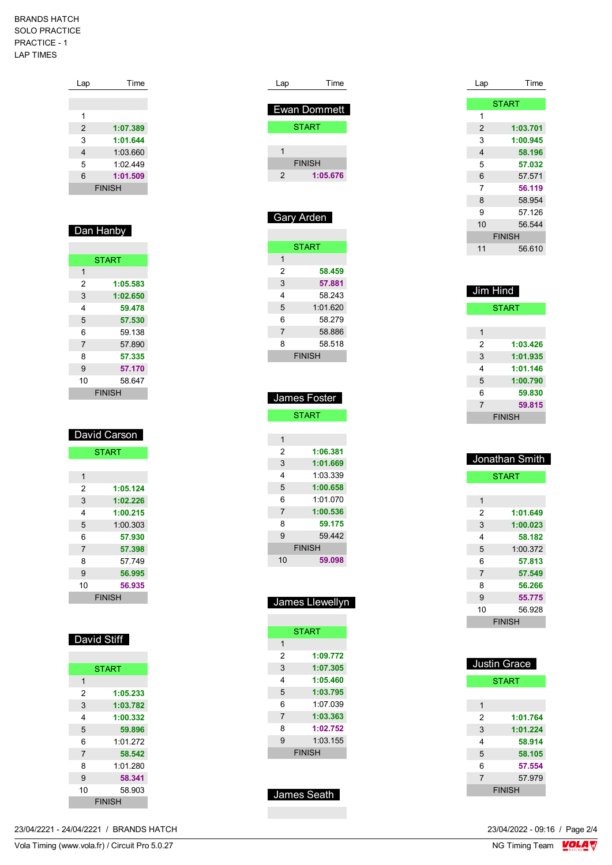### BRANDS HATCH SOLO PRACTICE PRACTICE - 1 LAP TIMES

| Lap            | Time          |
|----------------|---------------|
|                |               |
|                |               |
| 1              |               |
| $\overline{2}$ | 1:07.389      |
| 3              | 1:01.644      |
| 4              | 1:03.660      |
| 5              | 1:02.449      |
| 6              | 1:01.509      |
|                | <b>FINISH</b> |
|                |               |

### Dan Hanby

|                | <b>START</b>  |
|----------------|---------------|
| 1              |               |
| 2              | 1:05.583      |
| 3              | 1:02.650      |
| 4              | 59.478        |
| 5              | 57.530        |
| 6              | 59.138        |
| $\overline{7}$ | 57.890        |
| 8              | 57.335        |
| 9              | 57.170        |
| 10             | 58.647        |
|                | <b>FINISH</b> |
|                |               |

| David Carson |              |  |
|--------------|--------------|--|
|              | <b>START</b> |  |
|              |              |  |
| 1            |              |  |
| 2            | 1:05.124     |  |
| 3            | 1:02.226     |  |
| 4            | 1:00.215     |  |
| 5            | 1:00.303     |  |
| 6            | 57.930       |  |
| 7            | 57.398       |  |
| 8            | 57 749       |  |
| 9            | 56.995       |  |
| 10           | 56.935       |  |
| FINISH       |              |  |

## David Stiff

|                | <b>START</b>  |
|----------------|---------------|
| 1              |               |
| 2              | 1:05.233      |
| 3              | 1:03.782      |
| 4              | 1:00.332      |
| 5              | 59.896        |
| 6              | 1:01.272      |
| $\overline{7}$ | 58.542        |
| 8              | 1:01.280      |
| 9              | 58.341        |
| 10             | 58.903        |
|                | <b>FINISH</b> |

| Lap                 | Time          |  |  |
|---------------------|---------------|--|--|
|                     |               |  |  |
| <b>Ewan Dommett</b> |               |  |  |
|                     | <b>START</b>  |  |  |
|                     |               |  |  |
| 1                   |               |  |  |
|                     | <b>FINISH</b> |  |  |
| 2                   | 1:05.676      |  |  |
|                     |               |  |  |

| <b>Gary Arden</b> |          |  |  |  |
|-------------------|----------|--|--|--|
|                   |          |  |  |  |
| <b>START</b>      |          |  |  |  |
| 1                 |          |  |  |  |
| 2                 | 58.459   |  |  |  |
| 3                 | 57.881   |  |  |  |
| 4                 | 58 243   |  |  |  |
| 5                 | 1:01.620 |  |  |  |
| 6                 | 58 279   |  |  |  |
| 7                 | 58.886   |  |  |  |
| 8                 | 58.518   |  |  |  |
| <b>FINISH</b>     |          |  |  |  |

| James Foster |               |  |
|--------------|---------------|--|
|              | <b>START</b>  |  |
|              |               |  |
| 1            |               |  |
| 2            | 1:06.381      |  |
| 3            | 1:01.669      |  |
| 4            | 1:03.339      |  |
| 5            | 1:00.658      |  |
| 6            | 1:01.070      |  |
| 7            | 1:00.536      |  |
| 8            | 59.175        |  |
| 9            | 59442         |  |
|              | <b>FINISH</b> |  |
| 10           | 59.098        |  |
|              |               |  |

| James Llewellyn |               |  |
|-----------------|---------------|--|
|                 |               |  |
|                 | <b>START</b>  |  |
| 1               |               |  |
| 2               | 1:09.772      |  |
| 3               | 1:07.305      |  |
| 4               | 1:05.460      |  |
| 5               | 1:03.795      |  |
| 6               | 1:07.039      |  |
| $\overline{7}$  | 1:03.363      |  |
| 8               | 1:02.752      |  |
| 9               | 1:03.155      |  |
|                 | <b>FINISH</b> |  |
|                 |               |  |

James Seath

| Lap | Time          |  |
|-----|---------------|--|
|     |               |  |
|     | <b>START</b>  |  |
| 1   |               |  |
| 2   | 1:03.701      |  |
| 3   | 1:00.945      |  |
| 4   | 58.196        |  |
| 5   | 57.032        |  |
| 6   | 57.571        |  |
| 7   | 56.119        |  |
| 8   | 58.954        |  |
| 9   | 57.126        |  |
| 10  | 56.544        |  |
|     | <b>FINISH</b> |  |
| 11  | 56.610        |  |

| Jim Hind       |               |  |
|----------------|---------------|--|
| <b>START</b>   |               |  |
|                |               |  |
| 1              |               |  |
| 2              | 1:03.426      |  |
| 3              | 1:01.935      |  |
| 4              | 1:01.146      |  |
| 5              | 1:00.790      |  |
| 6              | 59.830        |  |
| $\overline{7}$ | 59.815        |  |
|                | <b>FINISH</b> |  |

| Jonathan Smith |               |  |
|----------------|---------------|--|
|                | <b>START</b>  |  |
|                |               |  |
| 1              |               |  |
| 2              | 1:01.649      |  |
| 3              | 1:00.023      |  |
| 4              | 58.182        |  |
| 5              | 1:00.372      |  |
| 6              | 57.813        |  |
| $\overline{7}$ | 57.549        |  |
| 8              | 56.266        |  |
| 9              | 55.775        |  |
| 10             | 56.928        |  |
|                | <b>FINISH</b> |  |

| Justin Grace   |               |  |
|----------------|---------------|--|
|                | <b>START</b>  |  |
|                |               |  |
| 1              |               |  |
| 2              | 1:01.764      |  |
| 3              | 1:01.224      |  |
| 4              | 58.914        |  |
| 5              | 58.105        |  |
| 6              | 57.554        |  |
| $\overline{7}$ | 57.979        |  |
|                | <b>FINISH</b> |  |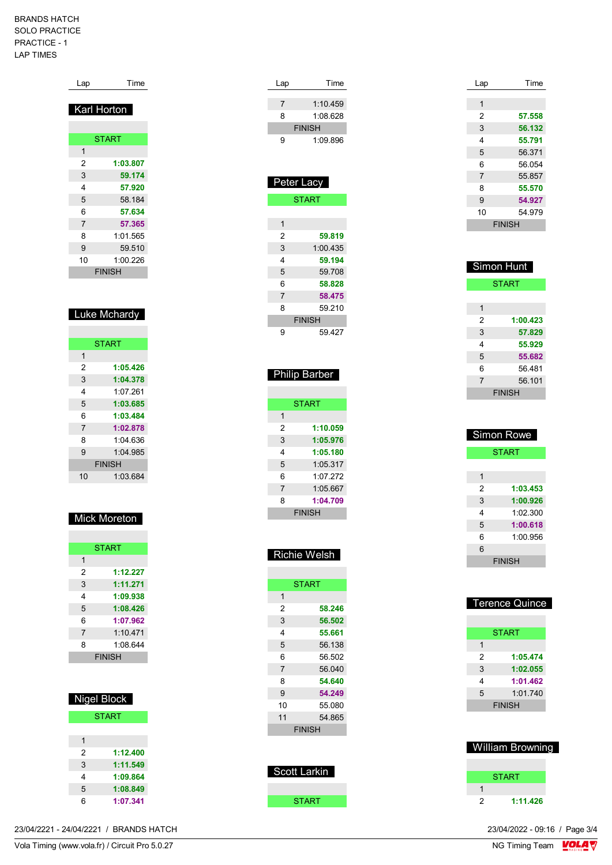#### BRANDS HATCH SOLO PRACTICE PRACTICE - 1 LAP TIMES

| Lap            | Time          |
|----------------|---------------|
| Karl Horton    |               |
|                | <b>START</b>  |
| 1              |               |
| 2              | 1:03.807      |
| 3              | 59.174        |
| 4              | 57.920        |
| 5              | 58.184        |
| 6              | 57.634        |
| $\overline{7}$ | 57.365        |
| 8              | 1:01.565      |
| 9              | 59.510        |
| 10             | 1:00.226      |
|                | <b>FINISH</b> |

## Luke Mchardy

|    | <b>START</b>  |
|----|---------------|
| 1  |               |
| 2  | 1:05.426      |
| 3  | 1:04.378      |
| 4  | 1.07261       |
| 5  | 1:03.685      |
| 6  | 1:03.484      |
| 7  | 1:02.878      |
| 8  | 1:04 636      |
| 9  | 1.04985       |
|    | <b>FINISH</b> |
| 10 | 1:03.684      |

## Mick Moreton

| <b>START</b>  |          |  |
|---------------|----------|--|
| 1             |          |  |
| 2             | 1:12.227 |  |
| 3             | 1:11.271 |  |
| 4             | 1:09.938 |  |
| 5             | 1:08.426 |  |
| 6             | 1:07.962 |  |
| 7             | 1:10.471 |  |
| 8             | 1:08.644 |  |
| <b>FINISH</b> |          |  |

| Nigel Block  |          |  |
|--------------|----------|--|
| <b>START</b> |          |  |
|              |          |  |
| 1            |          |  |
| 2            | 1:12.400 |  |
| 3            | 1:11.549 |  |
| 4            | 1:09.864 |  |
| 5            | 1:08.849 |  |
| ิค           | 1:07.341 |  |

| Lap | Time          |  |
|-----|---------------|--|
|     |               |  |
| 7   | 1.10459       |  |
| 8   | 1:08.628      |  |
|     | <b>FINISH</b> |  |
| 9   | 1:09.896      |  |

| Peter Lacy     |               |
|----------------|---------------|
|                | <b>START</b>  |
|                |               |
| 1              |               |
| 2              | 59.819        |
| 3              | 1:00.435      |
| 4              | 59.194        |
| 5              | 59.708        |
| 6              | 58.828        |
| $\overline{7}$ | 58.475        |
| 8              | 59 210        |
|                | <b>FINISH</b> |
| g              | 59.427        |

| <b>Philip Barber</b> |              |  |
|----------------------|--------------|--|
|                      |              |  |
|                      | <b>START</b> |  |
| 1                    |              |  |
| 2                    | 1:10.059     |  |
| 3                    | 1:05.976     |  |
| 4                    | 1:05.180     |  |
| 5                    | 1:05.317     |  |
| 6                    | 1.07272      |  |
| $\overline{7}$       | 1:05.667     |  |
| 8                    | 1:04.709     |  |
| <b>FINISH</b>        |              |  |

### Richie Welsh

|                | <b>START</b>  |        |  |
|----------------|---------------|--------|--|
| 1              |               |        |  |
| 2              |               | 58.246 |  |
| 3              |               | 56.502 |  |
| 4              |               | 55.661 |  |
| 5              |               | 56.138 |  |
| 6              |               | 56.502 |  |
| $\overline{7}$ |               | 56.040 |  |
| 8              |               | 54.640 |  |
| 9              |               | 54.249 |  |
| 10             |               | 55 080 |  |
| 11             |               | 54.865 |  |
|                | <b>FINISH</b> |        |  |
|                |               |        |  |

| <b>Scott Larkin</b> |
|---------------------|
|                     |
| START               |

| Lap            | Time          |
|----------------|---------------|
|                |               |
| 1              |               |
| 2              | 57.558        |
| 3              | 56.132        |
| 4              | 55.791        |
| 5              | 56.371        |
| 6              | 56.054        |
| $\overline{7}$ | 55.857        |
| 8              | 55.570        |
| 9              | 54.927        |
| 10             | 54.979        |
|                | <b>FINISH</b> |

| Simon Hunt |               |
|------------|---------------|
|            | <b>START</b>  |
|            |               |
| 1          |               |
| 2          | 1:00.423      |
| 3          | 57.829        |
| 4          | 55.929        |
| 5          | 55.682        |
| 6          | 56 481        |
| 7          | 56.101        |
|            | <b>FINISH</b> |

| <b>Simon Rowe</b> |          |  |
|-------------------|----------|--|
| <b>START</b>      |          |  |
|                   |          |  |
| 1                 |          |  |
| 2                 | 1:03.453 |  |
| 3                 | 1:00.926 |  |
| 4                 | 1:02.300 |  |
| 5                 | 1:00.618 |  |
| 6                 | 1:00.956 |  |
| 6                 |          |  |
| <b>FINISH</b>     |          |  |

|   | <b>Terence Quince</b> |
|---|-----------------------|
|   | <b>START</b>          |
| 1 |                       |
| 2 | 1:05.474              |
| 3 | 1:02.055              |
| 4 | 1:01.462              |
| 5 | 1.01740               |
|   | <b>FINISH</b>         |
|   |                       |

# William Browning START

**1:11.426**

23/04/2022 - 09:16 / Page 3/4<br>NG Timing Team  $\frac{VOLA}{V}$ 

23/04/2221 - 24/04/2221 / BRANDS HATCH